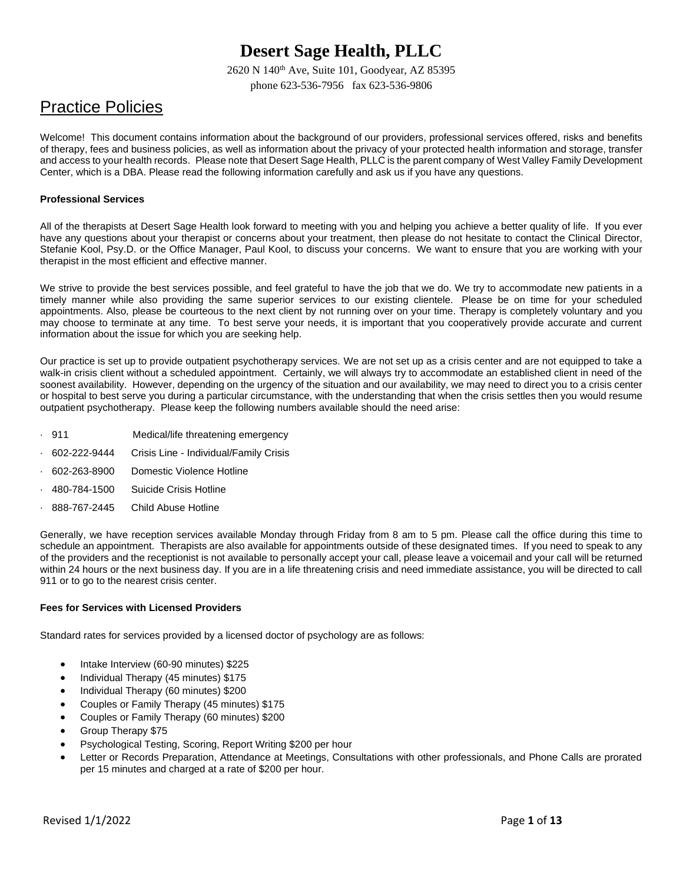2620 N 140th Ave, Suite 101, Goodyear, AZ 85395 phone 623-536-7956 fax 623-536-9806

# Practice Policies

Welcome! This document contains information about the background of our providers, professional services offered, risks and benefits of therapy, fees and business policies, as well as information about the privacy of your protected health information and storage, transfer and access to your health records. Please note that Desert Sage Health, PLLC is the parent company of West Valley Family Development Center, which is a DBA. Please read the following information carefully and ask us if you have any questions.

#### **Professional Services**

All of the therapists at Desert Sage Health look forward to meeting with you and helping you achieve a better quality of life. If you ever have any questions about your therapist or concerns about your treatment, then please do not hesitate to contact the Clinical Director, Stefanie Kool, Psy.D. or the Office Manager, Paul Kool, to discuss your concerns. We want to ensure that you are working with your therapist in the most efficient and effective manner.

We strive to provide the best services possible, and feel grateful to have the job that we do. We try to accommodate new patients in a timely manner while also providing the same superior services to our existing clientele. Please be on time for your scheduled appointments. Also, please be courteous to the next client by not running over on your time. Therapy is completely voluntary and you may choose to terminate at any time. To best serve your needs, it is important that you cooperatively provide accurate and current information about the issue for which you are seeking help.

Our practice is set up to provide outpatient psychotherapy services. We are not set up as a crisis center and are not equipped to take a walk-in crisis client without a scheduled appointment. Certainly, we will always try to accommodate an established client in need of the soonest availability. However, depending on the urgency of the situation and our availability, we may need to direct you to a crisis center or hospital to best serve you during a particular circumstance, with the understanding that when the crisis settles then you would resume outpatient psychotherapy. Please keep the following numbers available should the need arise:

- · 911 Medical/life threatening emergency
- · 602-222-9444 Crisis Line Individual/Family Crisis
- · 602-263-8900 Domestic Violence Hotline
- · 480-784-1500 Suicide Crisis Hotline
- · 888-767-2445 Child Abuse Hotline

Generally, we have reception services available Monday through Friday from 8 am to 5 pm. Please call the office during this time to schedule an appointment. Therapists are also available for appointments outside of these designated times. If you need to speak to any of the providers and the receptionist is not available to personally accept your call, please leave a voicemail and your call will be returned within 24 hours or the next business day. If you are in a life threatening crisis and need immediate assistance, you will be directed to call 911 or to go to the nearest crisis center.

#### **Fees for Services with Licensed Providers**

Standard rates for services provided by a licensed doctor of psychology are as follows:

- Intake Interview (60-90 minutes) \$225
- Individual Therapy (45 minutes) \$175
- Individual Therapy (60 minutes) \$200
- Couples or Family Therapy (45 minutes) \$175
- Couples or Family Therapy (60 minutes) \$200
- Group Therapy \$75
- Psychological Testing, Scoring, Report Writing \$200 per hour
- Letter or Records Preparation, Attendance at Meetings, Consultations with other professionals, and Phone Calls are prorated per 15 minutes and charged at a rate of \$200 per hour.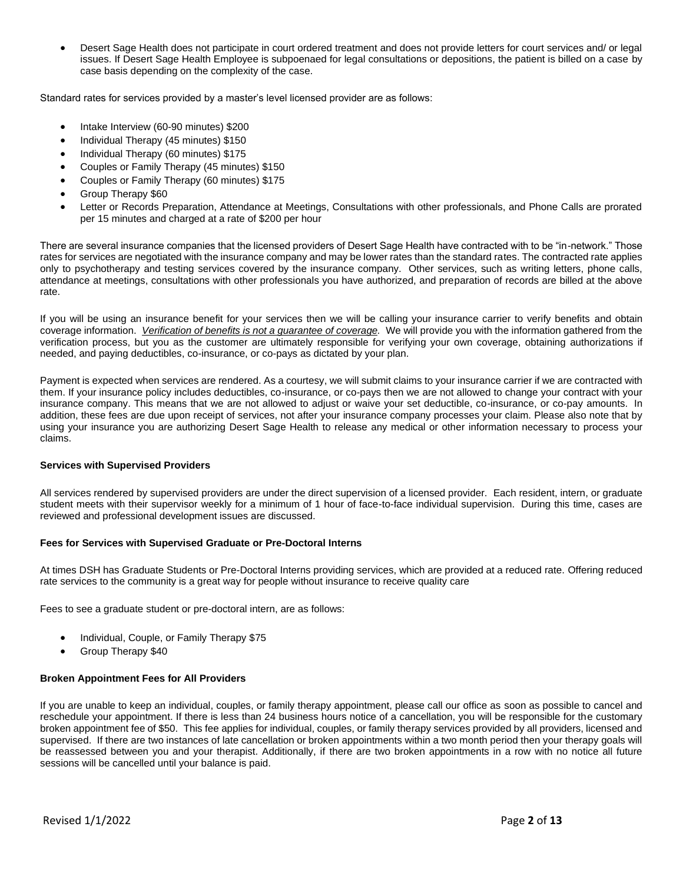• Desert Sage Health does not participate in court ordered treatment and does not provide letters for court services and/ or legal issues. If Desert Sage Health Employee is subpoenaed for legal consultations or depositions, the patient is billed on a case by case basis depending on the complexity of the case.

Standard rates for services provided by a master's level licensed provider are as follows:

- Intake Interview (60-90 minutes) \$200
- Individual Therapy (45 minutes) \$150
- Individual Therapy (60 minutes) \$175
- Couples or Family Therapy (45 minutes) \$150
- Couples or Family Therapy (60 minutes) \$175
- Group Therapy \$60
- Letter or Records Preparation, Attendance at Meetings, Consultations with other professionals, and Phone Calls are prorated per 15 minutes and charged at a rate of \$200 per hour

There are several insurance companies that the licensed providers of Desert Sage Health have contracted with to be "in-network." Those rates for services are negotiated with the insurance company and may be lower rates than the standard rates. The contracted rate applies only to psychotherapy and testing services covered by the insurance company. Other services, such as writing letters, phone calls, attendance at meetings, consultations with other professionals you have authorized, and preparation of records are billed at the above rate.

If you will be using an insurance benefit for your services then we will be calling your insurance carrier to verify benefits and obtain coverage information. *Verification of benefits is not a guarantee of coverage.* We will provide you with the information gathered from the verification process, but you as the customer are ultimately responsible for verifying your own coverage, obtaining authorizations if needed, and paying deductibles, co-insurance, or co-pays as dictated by your plan.

Payment is expected when services are rendered. As a courtesy, we will submit claims to your insurance carrier if we are contracted with them. If your insurance policy includes deductibles, co-insurance, or co-pays then we are not allowed to change your contract with your insurance company. This means that we are not allowed to adjust or waive your set deductible, co-insurance, or co-pay amounts. In addition, these fees are due upon receipt of services, not after your insurance company processes your claim. Please also note that by using your insurance you are authorizing Desert Sage Health to release any medical or other information necessary to process your claims.

#### **Services with Supervised Providers**

All services rendered by supervised providers are under the direct supervision of a licensed provider. Each resident, intern, or graduate student meets with their supervisor weekly for a minimum of 1 hour of face-to-face individual supervision. During this time, cases are reviewed and professional development issues are discussed.

#### **Fees for Services with Supervised Graduate or Pre-Doctoral Interns**

At times DSH has Graduate Students or Pre-Doctoral Interns providing services, which are provided at a reduced rate. Offering reduced rate services to the community is a great way for people without insurance to receive quality care

Fees to see a graduate student or pre-doctoral intern, are as follows:

- Individual, Couple, or Family Therapy \$75
- Group Therapy \$40

#### **Broken Appointment Fees for All Providers**

If you are unable to keep an individual, couples, or family therapy appointment, please call our office as soon as possible to cancel and reschedule your appointment. If there is less than 24 business hours notice of a cancellation, you will be responsible for the customary broken appointment fee of \$50. This fee applies for individual, couples, or family therapy services provided by all providers, licensed and supervised. If there are two instances of late cancellation or broken appointments within a two month period then your therapy goals will be reassessed between you and your therapist. Additionally, if there are two broken appointments in a row with no notice all future sessions will be cancelled until your balance is paid.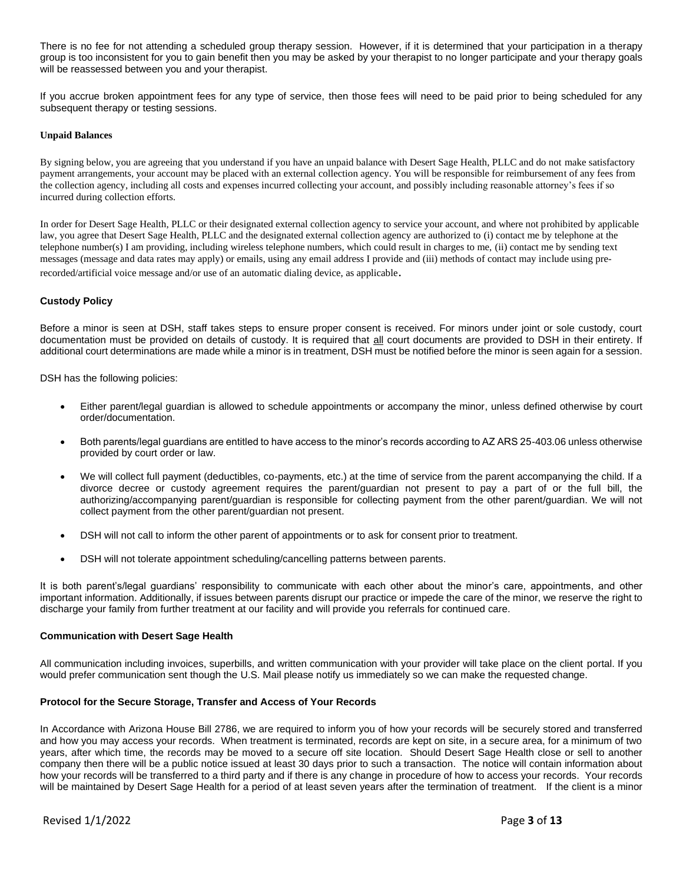There is no fee for not attending a scheduled group therapy session. However, if it is determined that your participation in a therapy group is too inconsistent for you to gain benefit then you may be asked by your therapist to no longer participate and your therapy goals will be reassessed between you and your therapist.

If you accrue broken appointment fees for any type of service, then those fees will need to be paid prior to being scheduled for any subsequent therapy or testing sessions.

#### **Unpaid Balances**

By signing below, you are agreeing that you understand if you have an unpaid balance with Desert Sage Health, PLLC and do not make satisfactory payment arrangements, your account may be placed with an external collection agency. You will be responsible for reimbursement of any fees from the collection agency, including all costs and expenses incurred collecting your account, and possibly including reasonable attorney's fees if so incurred during collection efforts.

In order for Desert Sage Health, PLLC or their designated external collection agency to service your account, and where not prohibited by applicable law, you agree that Desert Sage Health, PLLC and the designated external collection agency are authorized to (i) contact me by telephone at the telephone number(s) I am providing, including wireless telephone numbers, which could result in charges to me, (ii) contact me by sending text messages (message and data rates may apply) or emails, using any email address I provide and (iii) methods of contact may include using pre-

recorded/artificial voice message and/or use of an automatic dialing device, as applicable.

#### **Custody Policy**

Before a minor is seen at DSH, staff takes steps to ensure proper consent is received. For minors under joint or sole custody, court documentation must be provided on details of custody. It is required that all court documents are provided to DSH in their entirety. If additional court determinations are made while a minor is in treatment, DSH must be notified before the minor is seen again for a session.

DSH has the following policies:

- Either parent/legal guardian is allowed to schedule appointments or accompany the minor, unless defined otherwise by court order/documentation.
- Both parents/legal guardians are entitled to have access to the minor's records according to AZ ARS 25-403.06 unless otherwise provided by court order or law.
- We will collect full payment (deductibles, co-payments, etc.) at the time of service from the parent accompanying the child. If a divorce decree or custody agreement requires the parent/guardian not present to pay a part of or the full bill, the authorizing/accompanying parent/guardian is responsible for collecting payment from the other parent/guardian. We will not collect payment from the other parent/guardian not present.
- DSH will not call to inform the other parent of appointments or to ask for consent prior to treatment.
- DSH will not tolerate appointment scheduling/cancelling patterns between parents.

It is both parent's/legal guardians' responsibility to communicate with each other about the minor's care, appointments, and other important information. Additionally, if issues between parents disrupt our practice or impede the care of the minor, we reserve the right to discharge your family from further treatment at our facility and will provide you referrals for continued care.

#### **Communication with Desert Sage Health**

All communication including invoices, superbills, and written communication with your provider will take place on the client portal. If you would prefer communication sent though the U.S. Mail please notify us immediately so we can make the requested change.

#### **Protocol for the Secure Storage, Transfer and Access of Your Records**

In Accordance with Arizona House Bill 2786, we are required to inform you of how your records will be securely stored and transferred and how you may access your records. When treatment is terminated, records are kept on site, in a secure area, for a minimum of two years, after which time, the records may be moved to a secure off site location. Should Desert Sage Health close or sell to another company then there will be a public notice issued at least 30 days prior to such a transaction. The notice will contain information about how your records will be transferred to a third party and if there is any change in procedure of how to access your records. Your records will be maintained by Desert Sage Health for a period of at least seven years after the termination of treatment. If the client is a minor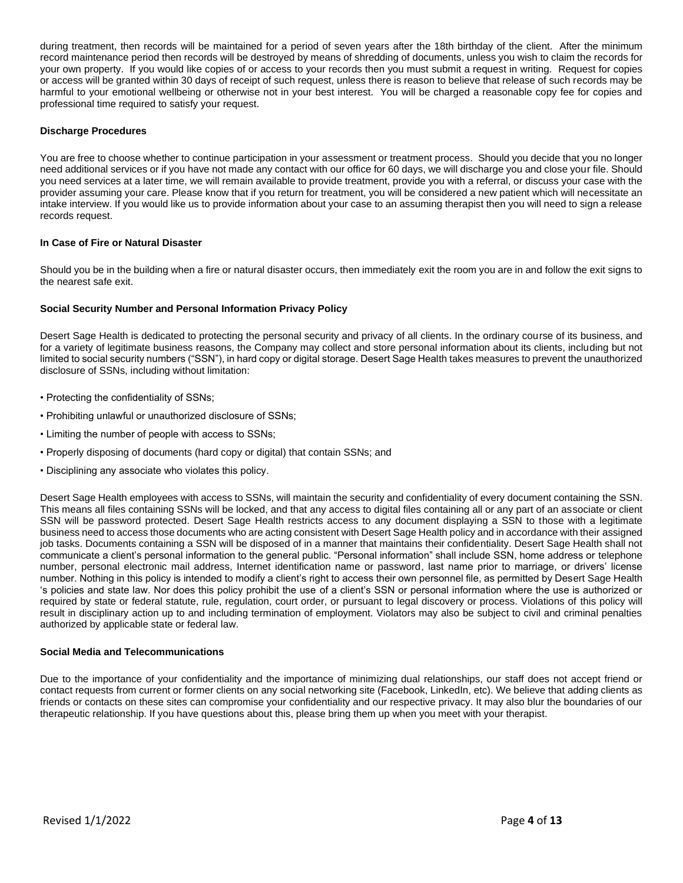during treatment, then records will be maintained for a period of seven years after the 18th birthday of the client. After the minimum record maintenance period then records will be destroyed by means of shredding of documents, unless you wish to claim the records for your own property. If you would like copies of or access to your records then you must submit a request in writing. Request for copies or access will be granted within 30 days of receipt of such request, unless there is reason to believe that release of such records may be harmful to your emotional wellbeing or otherwise not in your best interest. You will be charged a reasonable copy fee for copies and professional time required to satisfy your request.

#### **Discharge Procedures**

You are free to choose whether to continue participation in your assessment or treatment process. Should you decide that you no longer need additional services or if you have not made any contact with our office for 60 days, we will discharge you and close your file. Should you need services at a later time, we will remain available to provide treatment, provide you with a referral, or discuss your case with the provider assuming your care. Please know that if you return for treatment, you will be considered a new patient which will necessitate an intake interview. If you would like us to provide information about your case to an assuming therapist then you will need to sign a release records request.

#### **In Case of Fire or Natural Disaster**

Should you be in the building when a fire or natural disaster occurs, then immediately exit the room you are in and follow the exit signs to the nearest safe exit.

#### **Social Security Number and Personal Information Privacy Policy**

Desert Sage Health is dedicated to protecting the personal security and privacy of all clients. In the ordinary course of its business, and for a variety of legitimate business reasons, the Company may collect and store personal information about its clients, including but not limited to social security numbers ("SSN"), in hard copy or digital storage. Desert Sage Health takes measures to prevent the unauthorized disclosure of SSNs, including without limitation:

- Protecting the confidentiality of SSNs;
- Prohibiting unlawful or unauthorized disclosure of SSNs;
- Limiting the number of people with access to SSNs;
- Properly disposing of documents (hard copy or digital) that contain SSNs; and
- Disciplining any associate who violates this policy.

Desert Sage Health employees with access to SSNs, will maintain the security and confidentiality of every document containing the SSN. This means all files containing SSNs will be locked, and that any access to digital files containing all or any part of an associate or client SSN will be password protected. Desert Sage Health restricts access to any document displaying a SSN to those with a legitimate business need to access those documents who are acting consistent with Desert Sage Health policy and in accordance with their assigned job tasks. Documents containing a SSN will be disposed of in a manner that maintains their confidentiality. Desert Sage Health shall not communicate a client's personal information to the general public. "Personal information" shall include SSN, home address or telephone number, personal electronic mail address, Internet identification name or password, last name prior to marriage, or drivers' license number. Nothing in this policy is intended to modify a client's right to access their own personnel file, as permitted by Desert Sage Health 's policies and state law. Nor does this policy prohibit the use of a client's SSN or personal information where the use is authorized or required by state or federal statute, rule, regulation, court order, or pursuant to legal discovery or process. Violations of this policy will result in disciplinary action up to and including termination of employment. Violators may also be subject to civil and criminal penalties authorized by applicable state or federal law.

#### **Social Media and Telecommunications**

Due to the importance of your confidentiality and the importance of minimizing dual relationships, our staff does not accept friend or contact requests from current or former clients on any social networking site (Facebook, LinkedIn, etc). We believe that adding clients as friends or contacts on these sites can compromise your confidentiality and our respective privacy. It may also blur the boundaries of our therapeutic relationship. If you have questions about this, please bring them up when you meet with your therapist.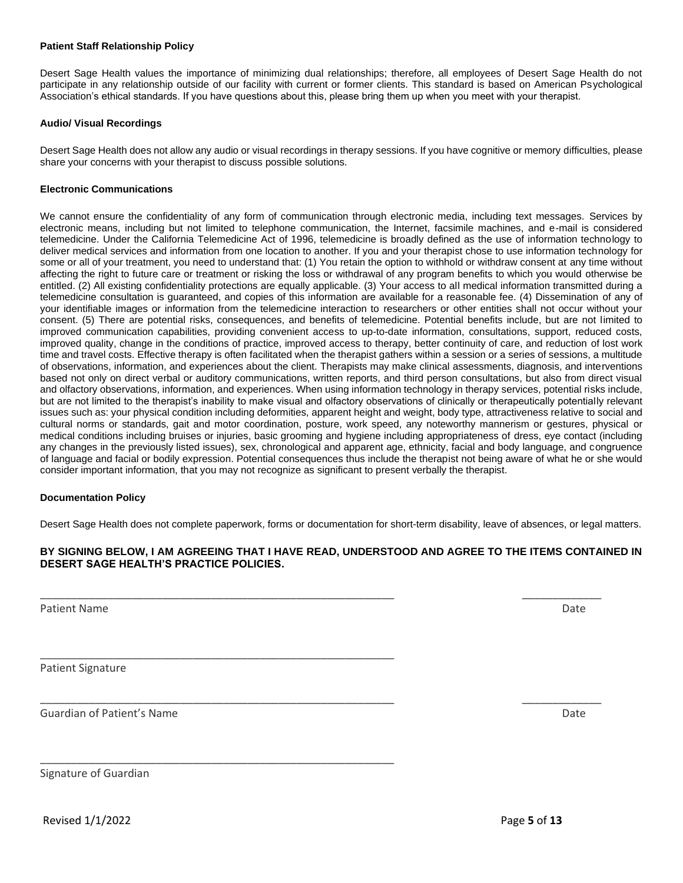#### **Patient Staff Relationship Policy**

Desert Sage Health values the importance of minimizing dual relationships; therefore, all employees of Desert Sage Health do not participate in any relationship outside of our facility with current or former clients. This standard is based on American Psychological Association's ethical standards. If you have questions about this, please bring them up when you meet with your therapist.

#### **Audio/ Visual Recordings**

Desert Sage Health does not allow any audio or visual recordings in therapy sessions. If you have cognitive or memory difficulties, please share your concerns with your therapist to discuss possible solutions.

#### **Electronic Communications**

We cannot ensure the confidentiality of any form of communication through electronic media, including text messages. Services by electronic means, including but not limited to telephone communication, the Internet, facsimile machines, and e-mail is considered telemedicine. Under the California Telemedicine Act of 1996, telemedicine is broadly defined as the use of information technology to deliver medical services and information from one location to another. If you and your therapist chose to use information technology for some or all of your treatment, you need to understand that: (1) You retain the option to withhold or withdraw consent at any time without affecting the right to future care or treatment or risking the loss or withdrawal of any program benefits to which you would otherwise be entitled. (2) All existing confidentiality protections are equally applicable. (3) Your access to all medical information transmitted during a telemedicine consultation is guaranteed, and copies of this information are available for a reasonable fee. (4) Dissemination of any of your identifiable images or information from the telemedicine interaction to researchers or other entities shall not occur without your consent. (5) There are potential risks, consequences, and benefits of telemedicine. Potential benefits include, but are not limited to improved communication capabilities, providing convenient access to up-to-date information, consultations, support, reduced costs, improved quality, change in the conditions of practice, improved access to therapy, better continuity of care, and reduction of lost work time and travel costs. Effective therapy is often facilitated when the therapist gathers within a session or a series of sessions, a multitude of observations, information, and experiences about the client. Therapists may make clinical assessments, diagnosis, and interventions based not only on direct verbal or auditory communications, written reports, and third person consultations, but also from direct visual and olfactory observations, information, and experiences. When using information technology in therapy services, potential risks include, but are not limited to the therapist's inability to make visual and olfactory observations of clinically or therapeutically potentially relevant issues such as: your physical condition including deformities, apparent height and weight, body type, attractiveness relative to social and cultural norms or standards, gait and motor coordination, posture, work speed, any noteworthy mannerism or gestures, physical or medical conditions including bruises or injuries, basic grooming and hygiene including appropriateness of dress, eye contact (including any changes in the previously listed issues), sex, chronological and apparent age, ethnicity, facial and body language, and congruence of language and facial or bodily expression. Potential consequences thus include the therapist not being aware of what he or she would consider important information, that you may not recognize as significant to present verbally the therapist.

#### **Documentation Policy**

Desert Sage Health does not complete paperwork, forms or documentation for short-term disability, leave of absences, or legal matters.

#### **BY SIGNING BELOW, I AM AGREEING THAT I HAVE READ, UNDERSTOOD AND AGREE TO THE ITEMS CONTAINED IN DESERT SAGE HEALTH'S PRACTICE POLICIES.**

\_\_\_\_\_\_\_\_\_\_\_\_\_\_\_\_\_\_\_\_\_\_\_\_\_\_\_\_\_\_\_\_\_\_\_\_\_\_\_\_\_\_\_\_\_\_\_\_\_\_\_\_\_\_\_\_\_\_ \_\_\_\_\_\_\_\_\_\_\_\_\_

\_\_\_\_\_\_\_\_\_\_\_\_\_\_\_\_\_\_\_\_\_\_\_\_\_\_\_\_\_\_\_\_\_\_\_\_\_\_\_\_\_\_\_\_\_\_\_\_\_\_\_\_\_\_\_\_\_\_ \_\_\_\_\_\_\_\_\_\_\_\_\_

\_\_\_\_\_\_\_\_\_\_\_\_\_\_\_\_\_\_\_\_\_\_\_\_\_\_\_\_\_\_\_\_\_\_\_\_\_\_\_\_\_\_\_\_\_\_\_\_\_\_\_\_\_\_\_\_\_\_

\_\_\_\_\_\_\_\_\_\_\_\_\_\_\_\_\_\_\_\_\_\_\_\_\_\_\_\_\_\_\_\_\_\_\_\_\_\_\_\_\_\_\_\_\_\_\_\_\_\_\_\_\_\_\_\_\_\_

Patient Name Date

Patient Signature

Guardian of Patient's Name **Date of Patient's Name Date** Date of Patient's Name Date of Patient's Name Date of P

Signature of Guardian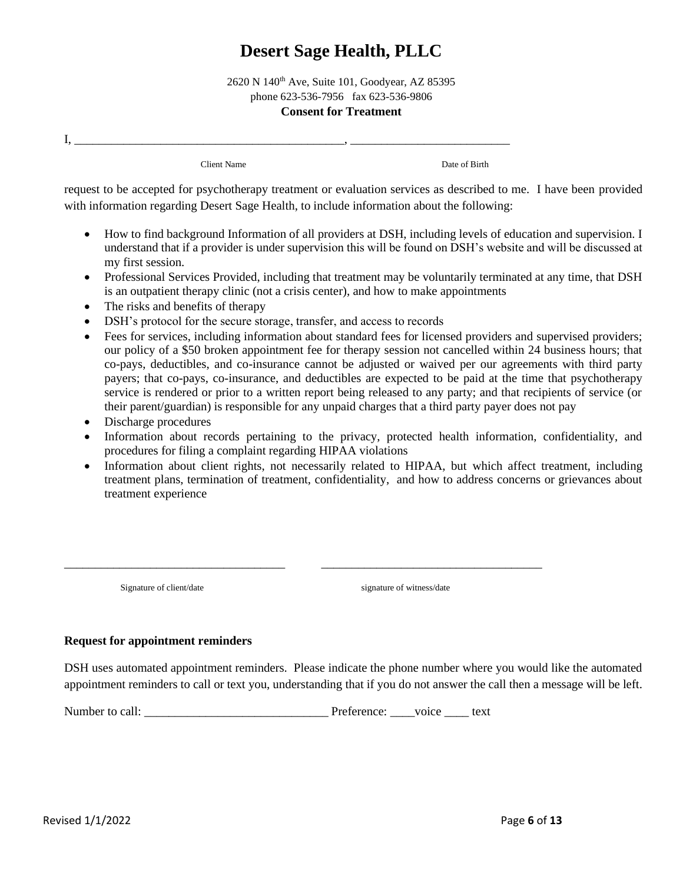2620 N 140th Ave, Suite 101, Goodyear, AZ 85395 phone 623-536-7956 fax 623-536-9806 **Consent for Treatment**

Client Name Date of Birth

request to be accepted for psychotherapy treatment or evaluation services as described to me. I have been provided with information regarding Desert Sage Health, to include information about the following:

- How to find background Information of all providers at DSH, including levels of education and supervision. I understand that if a provider is under supervision this will be found on DSH's website and will be discussed at my first session.
- Professional Services Provided, including that treatment may be voluntarily terminated at any time, that DSH is an outpatient therapy clinic (not a crisis center), and how to make appointments
- The risks and benefits of therapy
- DSH's protocol for the secure storage, transfer, and access to records
- Fees for services, including information about standard fees for licensed providers and supervised providers; our policy of a \$50 broken appointment fee for therapy session not cancelled within 24 business hours; that co-pays, deductibles, and co-insurance cannot be adjusted or waived per our agreements with third party payers; that co-pays, co-insurance, and deductibles are expected to be paid at the time that psychotherapy service is rendered or prior to a written report being released to any party; and that recipients of service (or their parent/guardian) is responsible for any unpaid charges that a third party payer does not pay
- Discharge procedures

 $\mathbf{I}_{\mathbf{I}_{\mathbf{I}}}$ 

- Information about records pertaining to the privacy, protected health information, confidentiality, and procedures for filing a complaint regarding HIPAA violations
- Information about client rights, not necessarily related to HIPAA, but which affect treatment, including treatment plans, termination of treatment, confidentiality, and how to address concerns or grievances about treatment experience

Signature of client/date signature of witness/date

#### **Request for appointment reminders**

DSH uses automated appointment reminders. Please indicate the phone number where you would like the automated appointment reminders to call or text you, understanding that if you do not answer the call then a message will be left.

Number to call: <br>  $\begin{array}{ccc} \text{Preference:} & \text{voice} & \text{text} \end{array}$ 

\_\_\_\_\_\_\_\_\_\_\_\_\_\_\_\_\_\_\_\_\_\_\_\_\_\_\_\_\_\_\_\_\_\_\_\_ \_\_\_\_\_\_\_\_\_\_\_\_\_\_\_\_\_\_\_\_\_\_\_\_\_\_\_\_\_\_\_\_\_\_\_\_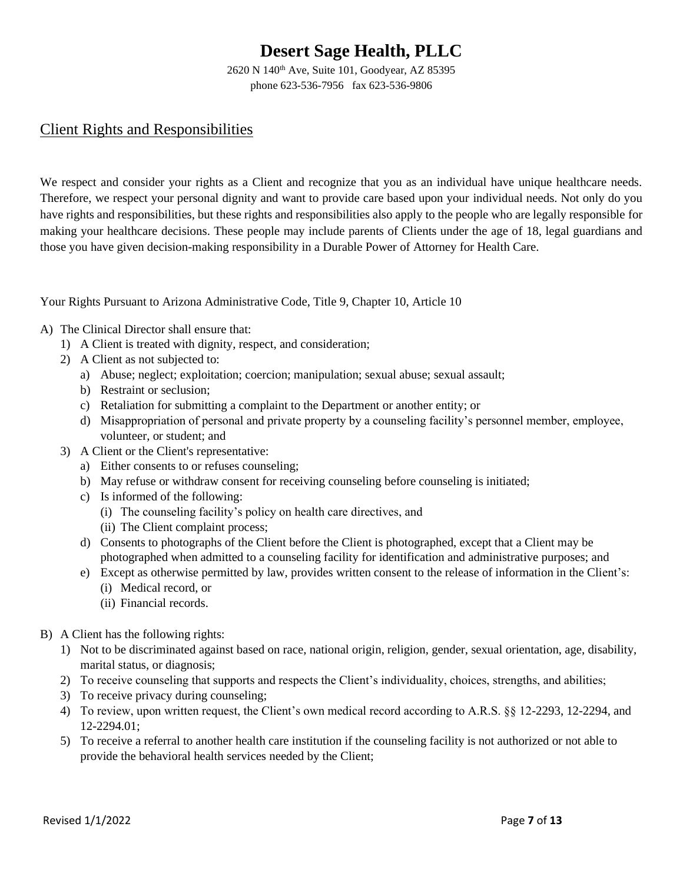2620 N 140th Ave, Suite 101, Goodyear, AZ 85395 phone 623-536-7956 fax 623-536-9806

## Client Rights and Responsibilities

We respect and consider your rights as a Client and recognize that you as an individual have unique healthcare needs. Therefore, we respect your personal dignity and want to provide care based upon your individual needs. Not only do you have rights and responsibilities, but these rights and responsibilities also apply to the people who are legally responsible for making your healthcare decisions. These people may include parents of Clients under the age of 18, legal guardians and those you have given decision-making responsibility in a Durable Power of Attorney for Health Care.

Your Rights Pursuant to Arizona Administrative Code, Title 9, Chapter 10, Article 10

- A) The Clinical Director shall ensure that:
	- 1) A Client is treated with dignity, respect, and consideration;
	- 2) A Client as not subjected to:
		- a) Abuse; neglect; exploitation; coercion; manipulation; sexual abuse; sexual assault;
		- b) Restraint or seclusion;
		- c) Retaliation for submitting a complaint to the Department or another entity; or
		- d) Misappropriation of personal and private property by a counseling facility's personnel member, employee, volunteer, or student; and
	- 3) A Client or the Client's representative:
		- a) Either consents to or refuses counseling;
		- b) May refuse or withdraw consent for receiving counseling before counseling is initiated;
		- c) Is informed of the following:
			- (i) The counseling facility's policy on health care directives, and
			- (ii) The Client complaint process;
		- d) Consents to photographs of the Client before the Client is photographed, except that a Client may be photographed when admitted to a counseling facility for identification and administrative purposes; and
		- e) Except as otherwise permitted by law, provides written consent to the release of information in the Client's: (i) Medical record, or
			- (ii) Financial records.
- B) A Client has the following rights:
	- 1) Not to be discriminated against based on race, national origin, religion, gender, sexual orientation, age, disability, marital status, or diagnosis;
	- 2) To receive counseling that supports and respects the Client's individuality, choices, strengths, and abilities;
	- 3) To receive privacy during counseling;
	- 4) To review, upon written request, the Client's own medical record according to A.R.S. §§ 12-2293, 12-2294, and 12-2294.01;
	- 5) To receive a referral to another health care institution if the counseling facility is not authorized or not able to provide the behavioral health services needed by the Client;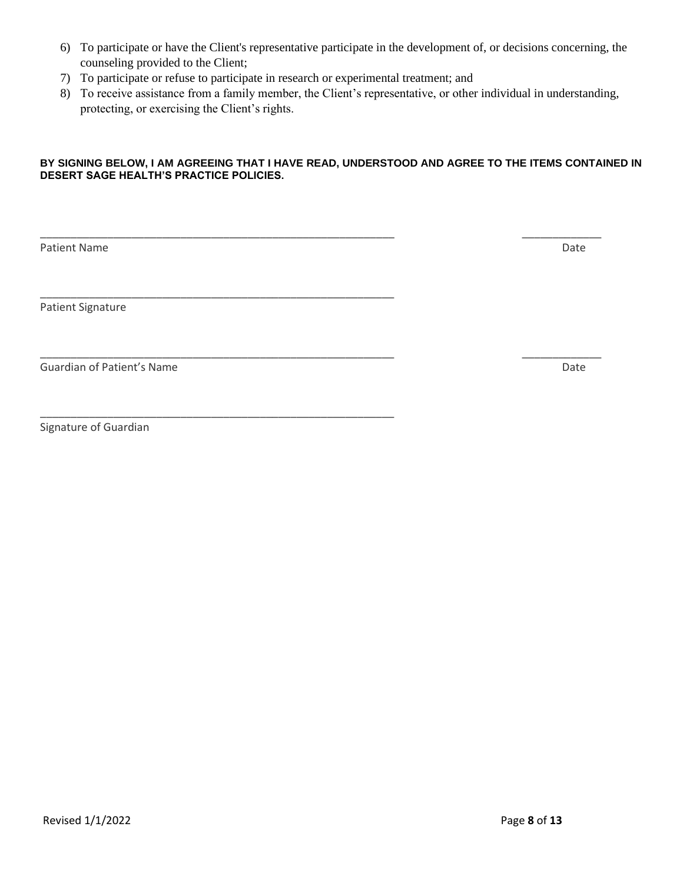- 6) To participate or have the Client's representative participate in the development of, or decisions concerning, the counseling provided to the Client;
- 7) To participate or refuse to participate in research or experimental treatment; and

\_\_\_\_\_\_\_\_\_\_\_\_\_\_\_\_\_\_\_\_\_\_\_\_\_\_\_\_\_\_\_\_\_\_\_\_\_\_\_\_\_\_\_\_\_\_\_\_\_\_\_\_\_\_\_\_\_\_

\_\_\_\_\_\_\_\_\_\_\_\_\_\_\_\_\_\_\_\_\_\_\_\_\_\_\_\_\_\_\_\_\_\_\_\_\_\_\_\_\_\_\_\_\_\_\_\_\_\_\_\_\_\_\_\_\_\_

8) To receive assistance from a family member, the Client's representative, or other individual in understanding, protecting, or exercising the Client's rights.

#### **BY SIGNING BELOW, I AM AGREEING THAT I HAVE READ, UNDERSTOOD AND AGREE TO THE ITEMS CONTAINED IN DESERT SAGE HEALTH'S PRACTICE POLICIES.**

\_\_\_\_\_\_\_\_\_\_\_\_\_\_\_\_\_\_\_\_\_\_\_\_\_\_\_\_\_\_\_\_\_\_\_\_\_\_\_\_\_\_\_\_\_\_\_\_\_\_\_\_\_\_\_\_\_\_ \_\_\_\_\_\_\_\_\_\_\_\_\_

Patient Name Date

Patient Signature

Guardian of Patient's Name Date Communication of Patient's Name Date Communication of Patient's Name Date

Signature of Guardian

\_\_\_\_\_\_\_\_\_\_\_\_\_\_\_\_\_\_\_\_\_\_\_\_\_\_\_\_\_\_\_\_\_\_\_\_\_\_\_\_\_\_\_\_\_\_\_\_\_\_\_\_\_\_\_\_\_\_ \_\_\_\_\_\_\_\_\_\_\_\_\_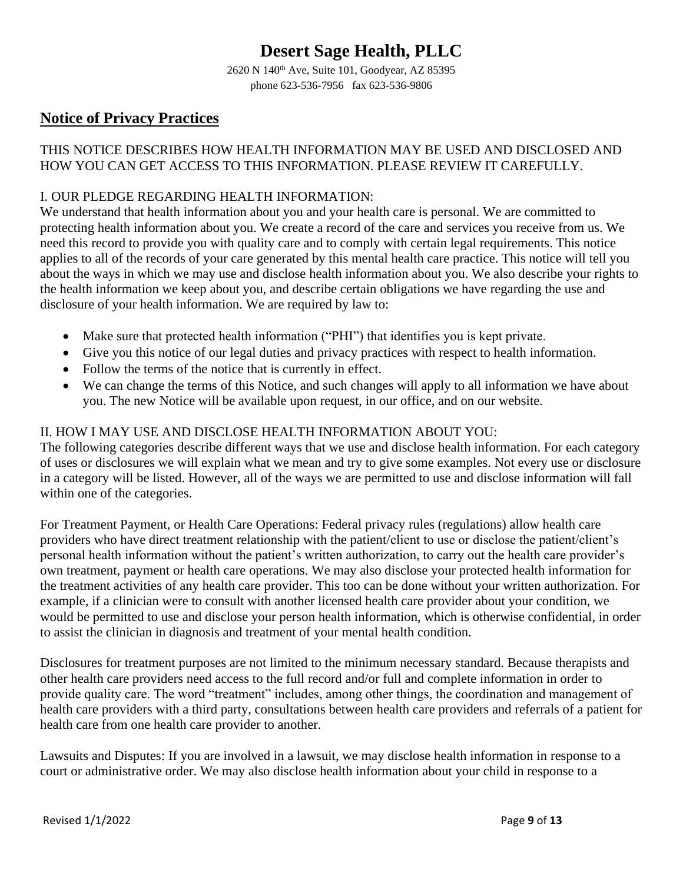2620 N 140th Ave, Suite 101, Goodyear, AZ 85395 phone 623-536-7956 fax 623-536-9806

# **Notice of Privacy Practices**

## THIS NOTICE DESCRIBES HOW HEALTH INFORMATION MAY BE USED AND DISCLOSED AND HOW YOU CAN GET ACCESS TO THIS INFORMATION. PLEASE REVIEW IT CAREFULLY.

## I. OUR PLEDGE REGARDING HEALTH INFORMATION:

We understand that health information about you and your health care is personal. We are committed to protecting health information about you. We create a record of the care and services you receive from us. We need this record to provide you with quality care and to comply with certain legal requirements. This notice applies to all of the records of your care generated by this mental health care practice. This notice will tell you about the ways in which we may use and disclose health information about you. We also describe your rights to the health information we keep about you, and describe certain obligations we have regarding the use and disclosure of your health information. We are required by law to:

- Make sure that protected health information ("PHI") that identifies you is kept private.
- Give you this notice of our legal duties and privacy practices with respect to health information.
- Follow the terms of the notice that is currently in effect.
- We can change the terms of this Notice, and such changes will apply to all information we have about you. The new Notice will be available upon request, in our office, and on our website.

### II. HOW I MAY USE AND DISCLOSE HEALTH INFORMATION ABOUT YOU:

The following categories describe different ways that we use and disclose health information. For each category of uses or disclosures we will explain what we mean and try to give some examples. Not every use or disclosure in a category will be listed. However, all of the ways we are permitted to use and disclose information will fall within one of the categories.

For Treatment Payment, or Health Care Operations: Federal privacy rules (regulations) allow health care providers who have direct treatment relationship with the patient/client to use or disclose the patient/client's personal health information without the patient's written authorization, to carry out the health care provider's own treatment, payment or health care operations. We may also disclose your protected health information for the treatment activities of any health care provider. This too can be done without your written authorization. For example, if a clinician were to consult with another licensed health care provider about your condition, we would be permitted to use and disclose your person health information, which is otherwise confidential, in order to assist the clinician in diagnosis and treatment of your mental health condition.

Disclosures for treatment purposes are not limited to the minimum necessary standard. Because therapists and other health care providers need access to the full record and/or full and complete information in order to provide quality care. The word "treatment" includes, among other things, the coordination and management of health care providers with a third party, consultations between health care providers and referrals of a patient for health care from one health care provider to another.

Lawsuits and Disputes: If you are involved in a lawsuit, we may disclose health information in response to a court or administrative order. We may also disclose health information about your child in response to a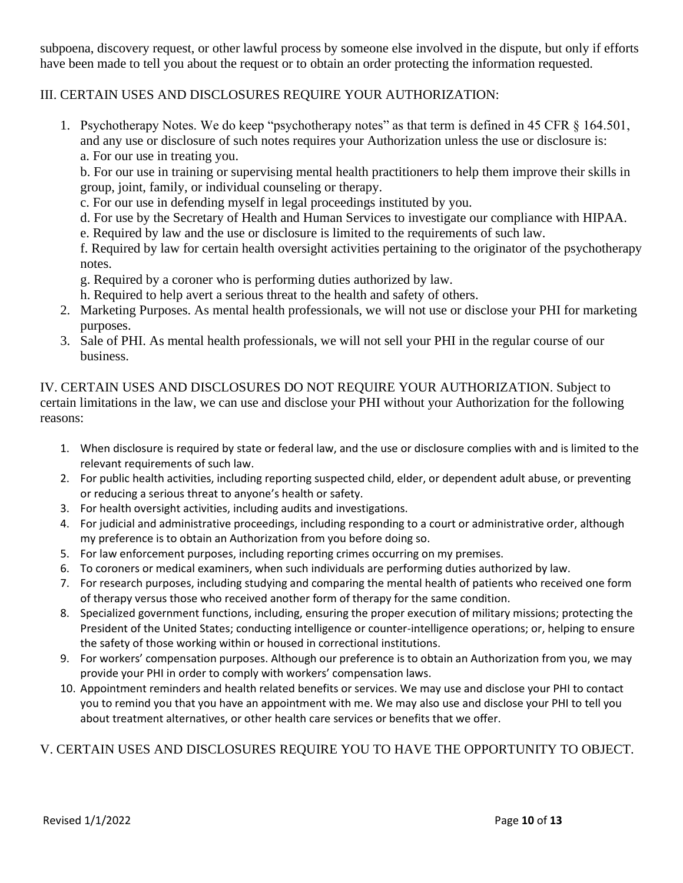subpoena, discovery request, or other lawful process by someone else involved in the dispute, but only if efforts have been made to tell you about the request or to obtain an order protecting the information requested.

### III. CERTAIN USES AND DISCLOSURES REQUIRE YOUR AUTHORIZATION:

1. Psychotherapy Notes. We do keep "psychotherapy notes" as that term is defined in 45 CFR § 164.501, and any use or disclosure of such notes requires your Authorization unless the use or disclosure is: a. For our use in treating you.

b. For our use in training or supervising mental health practitioners to help them improve their skills in group, joint, family, or individual counseling or therapy.

- c. For our use in defending myself in legal proceedings instituted by you.
- d. For use by the Secretary of Health and Human Services to investigate our compliance with HIPAA.
- e. Required by law and the use or disclosure is limited to the requirements of such law.

f. Required by law for certain health oversight activities pertaining to the originator of the psychotherapy notes.

- g. Required by a coroner who is performing duties authorized by law.
- h. Required to help avert a serious threat to the health and safety of others.
- 2. Marketing Purposes. As mental health professionals, we will not use or disclose your PHI for marketing purposes.
- 3. Sale of PHI. As mental health professionals, we will not sell your PHI in the regular course of our business.

IV. CERTAIN USES AND DISCLOSURES DO NOT REQUIRE YOUR AUTHORIZATION. Subject to certain limitations in the law, we can use and disclose your PHI without your Authorization for the following reasons:

- 1. When disclosure is required by state or federal law, and the use or disclosure complies with and is limited to the relevant requirements of such law.
- 2. For public health activities, including reporting suspected child, elder, or dependent adult abuse, or preventing or reducing a serious threat to anyone's health or safety.
- 3. For health oversight activities, including audits and investigations.
- 4. For judicial and administrative proceedings, including responding to a court or administrative order, although my preference is to obtain an Authorization from you before doing so.
- 5. For law enforcement purposes, including reporting crimes occurring on my premises.
- 6. To coroners or medical examiners, when such individuals are performing duties authorized by law.
- 7. For research purposes, including studying and comparing the mental health of patients who received one form of therapy versus those who received another form of therapy for the same condition.
- 8. Specialized government functions, including, ensuring the proper execution of military missions; protecting the President of the United States; conducting intelligence or counter-intelligence operations; or, helping to ensure the safety of those working within or housed in correctional institutions.
- 9. For workers' compensation purposes. Although our preference is to obtain an Authorization from you, we may provide your PHI in order to comply with workers' compensation laws.
- 10. Appointment reminders and health related benefits or services. We may use and disclose your PHI to contact you to remind you that you have an appointment with me. We may also use and disclose your PHI to tell you about treatment alternatives, or other health care services or benefits that we offer.

## V. CERTAIN USES AND DISCLOSURES REQUIRE YOU TO HAVE THE OPPORTUNITY TO OBJECT.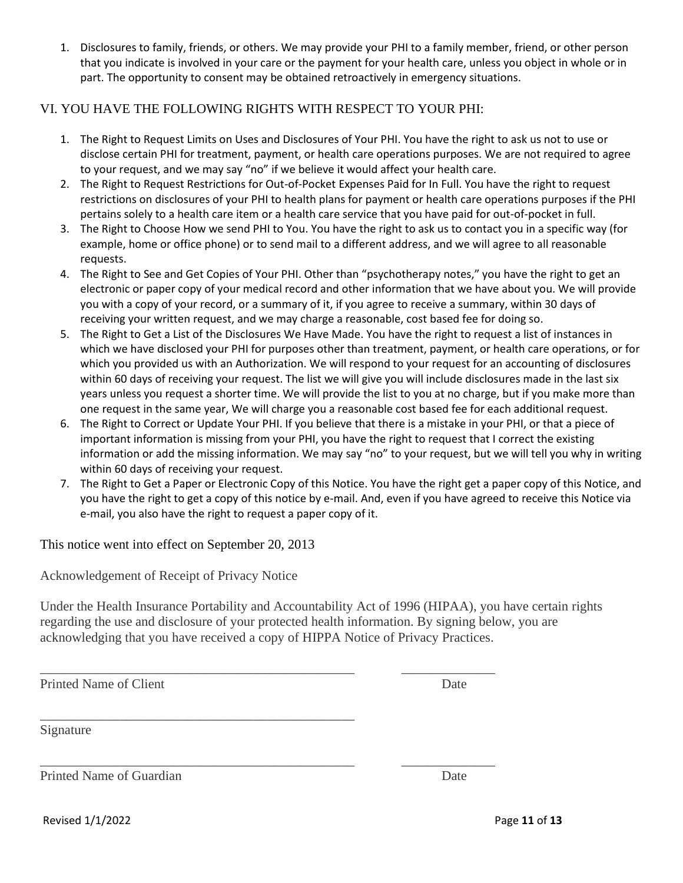1. Disclosures to family, friends, or others. We may provide your PHI to a family member, friend, or other person that you indicate is involved in your care or the payment for your health care, unless you object in whole or in part. The opportunity to consent may be obtained retroactively in emergency situations.

### VI. YOU HAVE THE FOLLOWING RIGHTS WITH RESPECT TO YOUR PHI:

- 1. The Right to Request Limits on Uses and Disclosures of Your PHI. You have the right to ask us not to use or disclose certain PHI for treatment, payment, or health care operations purposes. We are not required to agree to your request, and we may say "no" if we believe it would affect your health care.
- 2. The Right to Request Restrictions for Out-of-Pocket Expenses Paid for In Full. You have the right to request restrictions on disclosures of your PHI to health plans for payment or health care operations purposes if the PHI pertains solely to a health care item or a health care service that you have paid for out-of-pocket in full.
- 3. The Right to Choose How we send PHI to You. You have the right to ask us to contact you in a specific way (for example, home or office phone) or to send mail to a different address, and we will agree to all reasonable requests.
- 4. The Right to See and Get Copies of Your PHI. Other than "psychotherapy notes," you have the right to get an electronic or paper copy of your medical record and other information that we have about you. We will provide you with a copy of your record, or a summary of it, if you agree to receive a summary, within 30 days of receiving your written request, and we may charge a reasonable, cost based fee for doing so.
- 5. The Right to Get a List of the Disclosures We Have Made. You have the right to request a list of instances in which we have disclosed your PHI for purposes other than treatment, payment, or health care operations, or for which you provided us with an Authorization. We will respond to your request for an accounting of disclosures within 60 days of receiving your request. The list we will give you will include disclosures made in the last six years unless you request a shorter time. We will provide the list to you at no charge, but if you make more than one request in the same year, We will charge you a reasonable cost based fee for each additional request.
- 6. The Right to Correct or Update Your PHI. If you believe that there is a mistake in your PHI, or that a piece of important information is missing from your PHI, you have the right to request that I correct the existing information or add the missing information. We may say "no" to your request, but we will tell you why in writing within 60 days of receiving your request.
- 7. The Right to Get a Paper or Electronic Copy of this Notice. You have the right get a paper copy of this Notice, and you have the right to get a copy of this notice by e-mail. And, even if you have agreed to receive this Notice via e-mail, you also have the right to request a paper copy of it.

This notice went into effect on September 20, 2013

\_\_\_\_\_\_\_\_\_\_\_\_\_\_\_\_\_\_\_\_\_\_\_\_\_\_\_\_\_\_\_\_\_\_\_\_\_\_\_\_\_\_\_\_\_\_\_

Acknowledgement of Receipt of Privacy Notice

Under the Health Insurance Portability and Accountability Act of 1996 (HIPAA), you have certain rights regarding the use and disclosure of your protected health information. By signing below, you are acknowledging that you have received a copy of HIPPA Notice of Privacy Practices.

\_\_\_\_\_\_\_\_\_\_\_\_\_\_\_\_\_\_\_\_\_\_\_\_\_\_\_\_\_\_\_\_\_\_\_\_\_\_\_\_\_\_\_\_\_\_\_ \_\_\_\_\_\_\_\_\_\_\_\_\_\_

\_\_\_\_\_\_\_\_\_\_\_\_\_\_\_\_\_\_\_\_\_\_\_\_\_\_\_\_\_\_\_\_\_\_\_\_\_\_\_\_\_\_\_\_\_\_\_ \_\_\_\_\_\_\_\_\_\_\_\_\_\_

Printed Name of Client Date

Signature

Printed Name of Guardian **Date** 

Revised 1/1/2022 Page **11** of **13**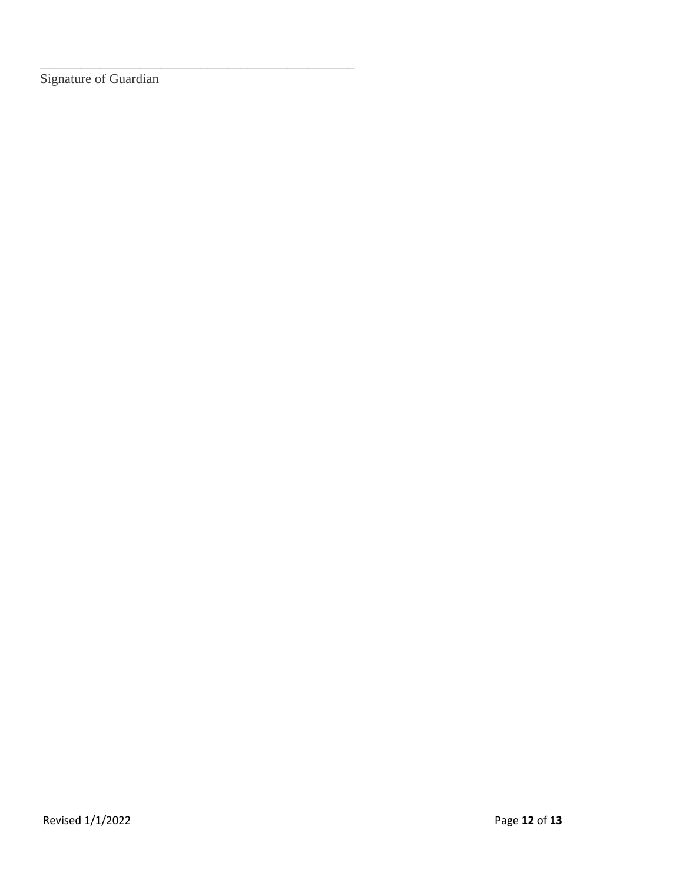Signature of Guardian

\_\_\_\_\_\_\_\_\_\_\_\_\_\_\_\_\_\_\_\_\_\_\_\_\_\_\_\_\_\_\_\_\_\_\_\_\_\_\_\_\_\_\_\_\_\_\_